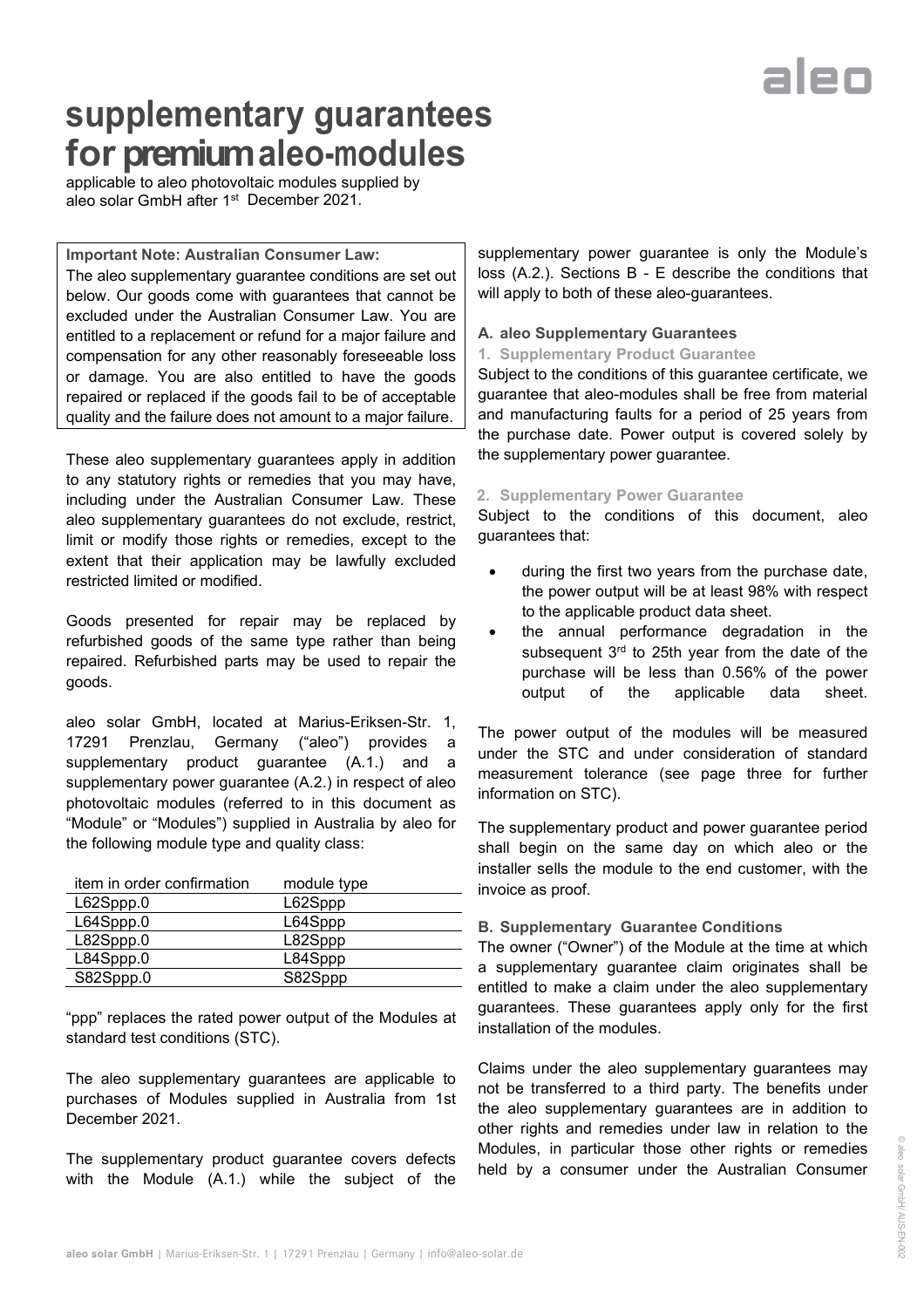# **supplementary guarantees for premium aleo-modules**

applicable to aleo photovoltaic modules supplied by aleo solar GmbH after 1st December 2021.

**Important Note: Australian Consumer Law:** The aleo supplementary guarantee conditions are set out below. Our goods come with guarantees that cannot be excluded under the Australian Consumer Law. You are entitled to a replacement or refund for a major failure and compensation for any other reasonably foreseeable loss or damage. You are also entitled to have the goods repaired or replaced if the goods fail to be of acceptable quality and the failure does not amount to a major failure.

These aleo supplementary guarantees apply in addition to any statutory rights or remedies that you may have, including under the Australian Consumer Law. These aleo supplementary guarantees do not exclude, restrict, limit or modify those rights or remedies, except to the extent that their application may be lawfully excluded restricted limited or modified.

Goods presented for repair may be replaced by refurbished goods of the same type rather than being repaired. Refurbished parts may be used to repair the goods.

aleo solar GmbH, located at Marius-Eriksen-Str. 1, 17291 Prenzlau, Germany ("aleo") provides a supplementary product guarantee (A.1.) and a supplementary power guarantee (A.2.) in respect of aleo photovoltaic modules (referred to in this document as "Module" or "Modules") supplied in Australia by aleo for the following module type and quality class:

| item in order confirmation | module type |
|----------------------------|-------------|
| L62Sppp.0                  | L62Sppp     |
| L64Sppp.0                  | L64Sppp     |
| L82Sppp.0                  | L82Sppp     |
| L84Sppp.0                  | L84Sppp     |
| S82Sppp.0                  | S82Sppp     |
|                            |             |

"ppp" replaces the rated power output of the Modules at standard test conditions (STC).

The aleo supplementary guarantees are applicable to purchases of Modules supplied in Australia from 1st December 2021.

The supplementary product guarantee covers defects with the Module (A.1.) while the subject of the supplementary power guarantee is only the Module's loss (A.2.). Sections B - E describe the conditions that will apply to both of these aleo-guarantees.

### **A. aleo Supplementary Guarantees**

### **1. Supplementary Product Guarantee**

Subject to the conditions of this guarantee certificate, we guarantee that aleo-modules shall be free from material and manufacturing faults for a period of 25 years from the purchase date. Power output is covered solely by the supplementary power guarantee.

### **2. Supplementary Power Guarantee**

Subject to the conditions of this document, aleo guarantees that:

- during the first two years from the purchase date, the power output will be at least 98% with respect to the applicable product data sheet.
- the annual performance degradation in the subsequent 3<sup>rd</sup> to 25th year from the date of the purchase will be less than 0.56% of the power output of the applicable data sheet.

The power output of the modules will be measured under the STC and under consideration of standard measurement tolerance (see page three for further information on STC).

The supplementary product and power guarantee period shall begin on the same day on which aleo or the installer sells the module to the end customer, with the invoice as proof.

## **B. Supplementary Guarantee Conditions**

The owner ("Owner") of the Module at the time at which a supplementary guarantee claim originates shall be entitled to make a claim under the aleo supplementary guarantees. These guarantees apply only for the first installation of the modules.

Claims under the aleo supplementary guarantees may not be transferred to a third party. The benefits under the aleo supplementary guarantees are in addition to other rights and remedies under law in relation to the Modules, in particular those other rights or remedies held by a consumer under the Australian Consumer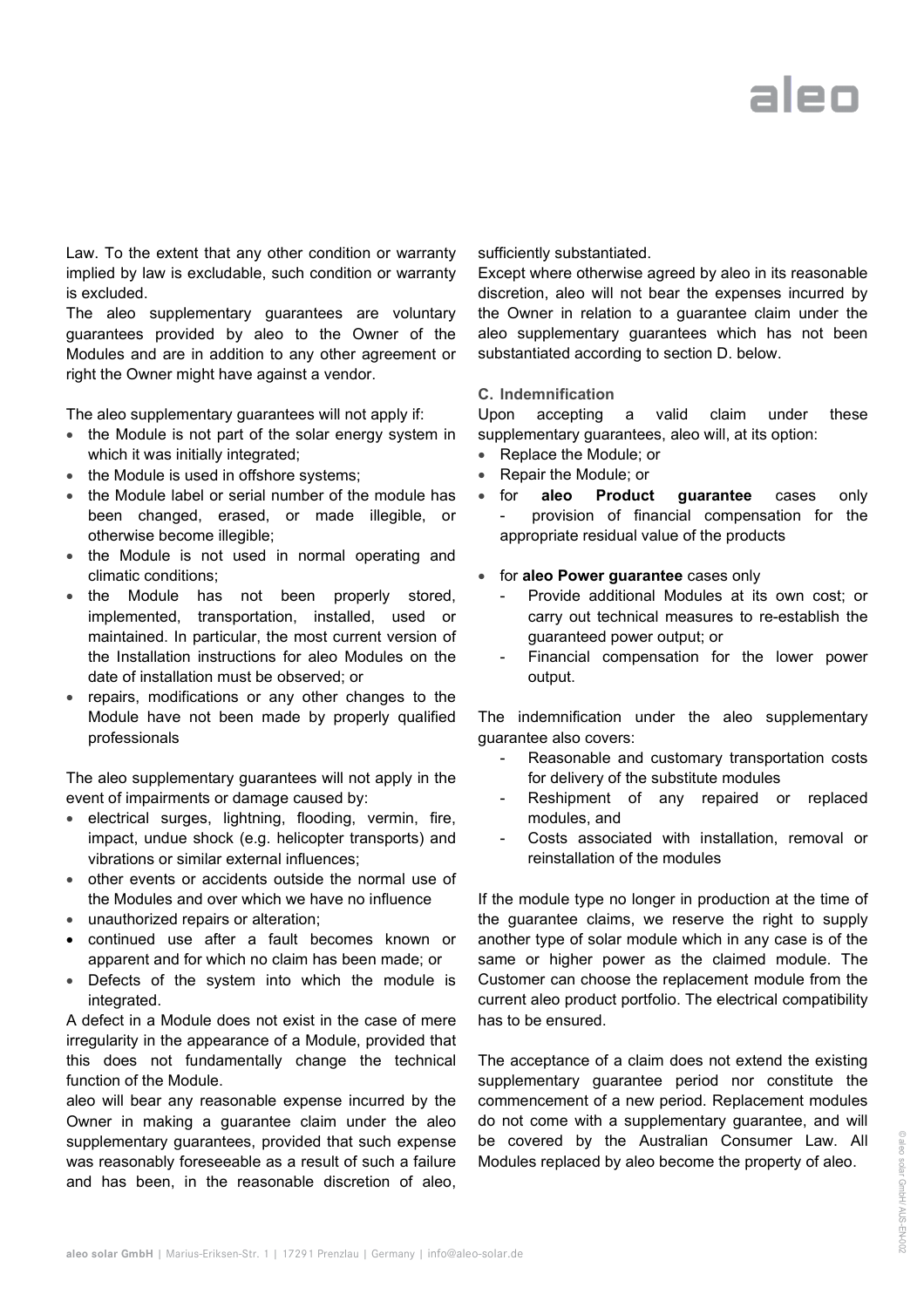Law. To the extent that any other condition or warranty implied by law is excludable, such condition or warranty is excluded.

The aleo supplementary guarantees are voluntary guarantees provided by aleo to the Owner of the Modules and are in addition to any other agreement or right the Owner might have against a vendor.

The aleo supplementary guarantees will not apply if:

- the Module is not part of the solar energy system in which it was initially integrated;
- the Module is used in offshore systems;
- the Module label or serial number of the module has been changed, erased, or made illegible, or otherwise become illegible;
- the Module is not used in normal operating and climatic conditions;
- the Module has not been properly stored, implemented, transportation, installed, used or maintained. In particular, the most current version of the Installation instructions for aleo Modules on the date of installation must be observed; or
- repairs, modifications or any other changes to the Module have not been made by properly qualified professionals

The aleo supplementary guarantees will not apply in the event of impairments or damage caused by:

- electrical surges, lightning, flooding, vermin, fire, impact, undue shock (e.g. helicopter transports) and vibrations or similar external influences;
- other events or accidents outside the normal use of the Modules and over which we have no influence
- unauthorized repairs or alteration;
- continued use after a fault becomes known or apparent and for which no claim has been made; or
- Defects of the system into which the module is integrated.

A defect in a Module does not exist in the case of mere irregularity in the appearance of a Module, provided that this does not fundamentally change the technical function of the Module.

aleo will bear any reasonable expense incurred by the Owner in making a guarantee claim under the aleo supplementary guarantees, provided that such expense was reasonably foreseeable as a result of such a failure and has been, in the reasonable discretion of aleo,

sufficiently substantiated.

Except where otherwise agreed by aleo in its reasonable discretion, aleo will not bear the expenses incurred by the Owner in relation to a guarantee claim under the aleo supplementary guarantees which has not been substantiated according to section D. below.

#### **C. Indemnification**

Upon accepting a valid claim under these supplementary guarantees, aleo will, at its option:

- Replace the Module; or
- Repair the Module; or
- for **aleo Product guarantee** cases only provision of financial compensation for the appropriate residual value of the products
- for **aleo Power guarantee** cases only
	- Provide additional Modules at its own cost; or carry out technical measures to re-establish the guaranteed power output; or
	- Financial compensation for the lower power output.

The indemnification under the aleo supplementary guarantee also covers:

- Reasonable and customary transportation costs for delivery of the substitute modules
- Reshipment of any repaired or replaced modules, and
- Costs associated with installation, removal or reinstallation of the modules

If the module type no longer in production at the time of the guarantee claims, we reserve the right to supply another type of solar module which in any case is of the same or higher power as the claimed module. The Customer can choose the replacement module from the current aleo product portfolio. The electrical compatibility has to be ensured.

The acceptance of a claim does not extend the existing supplementary guarantee period nor constitute the commencement of a new period. Replacement modules do not come with a supplementary guarantee, and will be covered by the Australian Consumer Law. All Modules replaced by aleo become the property of aleo.